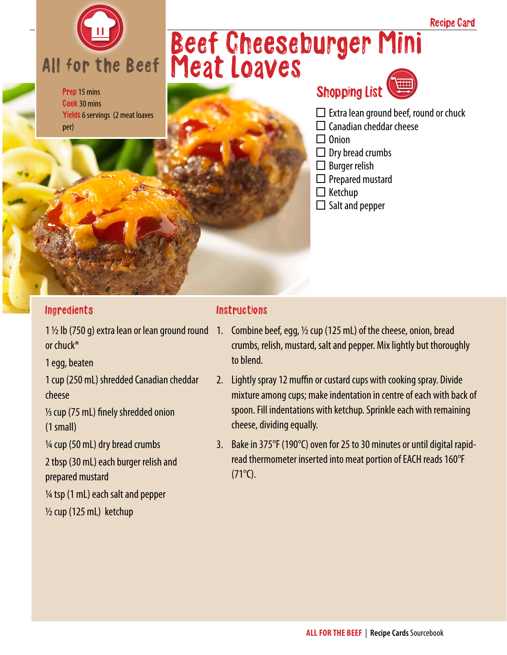

Prep 15 mins Cook 30 mins Yields 6 servings (2 meat loaves per)

## Beef Cheeseburger Mini Meat Loaves



 $\Box$  Extra lean ground beef, round or chuck

Recipe Card

- $\Box$  Canadian cheddar cheese
- $\Box$  Onion
- $\Box$  Dry bread crumbs
- $\square$  Burger relish
- $\Box$  Prepared mustard
- $\Box$  Ketchup
- $\square$  Salt and pepper

#### Ingredients

1 ½ lb (750 g) extra lean or lean ground round or chuck\*

1 egg, beaten

1 cup (250 mL) shredded Canadian cheddar cheese

1/3 cup (75 mL) finely shredded onion (1 small)

¼ cup (50 mL) dry bread crumbs

2 tbsp (30 mL) each burger relish and prepared mustard

 $\frac{1}{4}$  tsp (1 mL) each salt and pepper

 $\frac{1}{2}$  cup (125 mL) ketchup

#### **Instructions**

- 1. Combine beef, egg,  $\frac{1}{2}$  cup (125 mL) of the cheese, onion, bread crumbs, relish, mustard, salt and pepper. Mix lightly but thoroughly to blend.
- 2. Lightly spray 12 muffin or custard cups with cooking spray. Divide mixture among cups; make indentation in centre of each with back of spoon. Fill indentations with ketchup. Sprinkle each with remaining cheese, dividing equally.
- 3. Bake in 375°F (190°C) oven for 25 to 30 minutes or until digital rapidread thermometer inserted into meat portion of EACH reads 160°F  $(71^{\circ}C).$